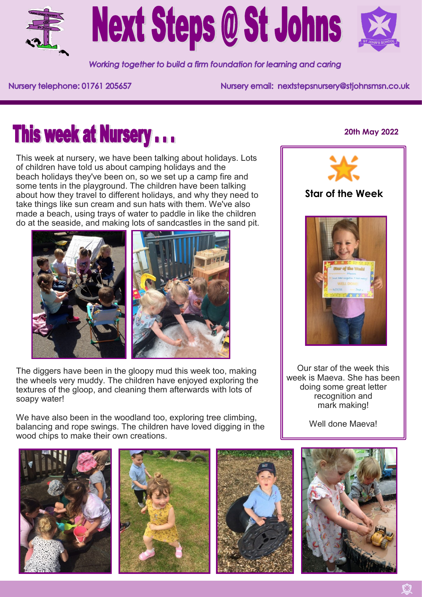

# **Next Steps @ St Johns**



Working together to build a firm foundation for learning and caring

Nursery telephone: 01761 205657

Nursery email: nextstepsnursery@stjohnsmsn.co.uk

## **This week at Nursery...**

This week at nursery, we have been talking about holidays. Lots of children have told us about camping holidays and the beach holidays they've been on, so we set up a camp fire and some tents in the playground. The children have been talking about how they travel to different holidays, and why they need to take things like sun cream and sun hats with them. We've also made a beach, using trays of water to paddle in like the children do at the seaside, and making lots of sandcastles in the sand pit.



The diggers have been in the gloopy mud this week too, making the wheels very muddy. The children have enjoyed exploring the textures of the gloop, and cleaning them afterwards with lots of soapy water!

We have also been in the woodland too, exploring tree climbing, balancing and rope swings. The children have loved digging in the wood chips to make their own creations.

#### **20th May 2022**



#### **Star of the Week**



Our star of the week this week is Maeva. She has been doing some great letter recognition and mark making!

Well done Maeval